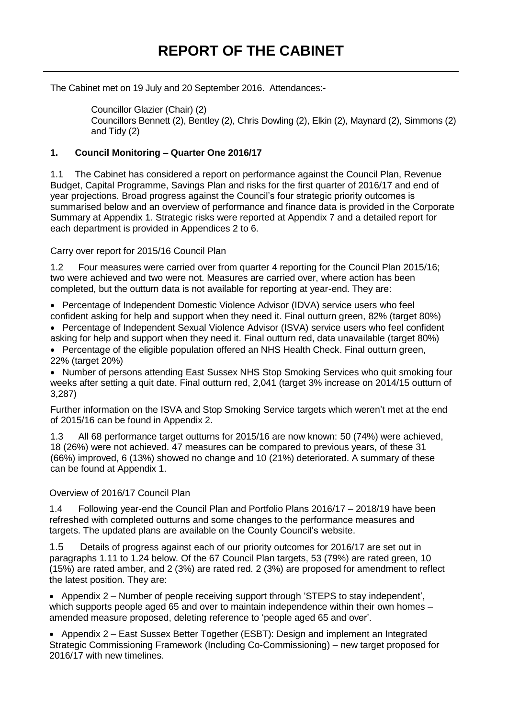The Cabinet met on 19 July and 20 September 2016. Attendances:-

Councillor Glazier (Chair) (2) Councillors Bennett (2), Bentley (2), Chris Dowling (2), Elkin (2), Maynard (2), Simmons (2) and Tidy (2)

## **1. Council Monitoring – Quarter One 2016/17**

1.1 The Cabinet has considered a report on performance against the Council Plan, Revenue Budget, Capital Programme, Savings Plan and risks for the first quarter of 2016/17 and end of year projections. Broad progress against the Council's four strategic priority outcomes is summarised below and an overview of performance and finance data is provided in the Corporate Summary at Appendix 1. Strategic risks were reported at Appendix 7 and a detailed report for each department is provided in Appendices 2 to 6.

Carry over report for 2015/16 Council Plan

1.2 Four measures were carried over from quarter 4 reporting for the Council Plan 2015/16; two were achieved and two were not. Measures are carried over, where action has been completed, but the outturn data is not available for reporting at year-end. They are:

 Percentage of Independent Domestic Violence Advisor (IDVA) service users who feel confident asking for help and support when they need it. Final outturn green, 82% (target 80%)

 Percentage of Independent Sexual Violence Advisor (ISVA) service users who feel confident asking for help and support when they need it. Final outturn red, data unavailable (target 80%)

• Percentage of the eligible population offered an NHS Health Check. Final outturn green, 22% (target 20%)

• Number of persons attending East Sussex NHS Stop Smoking Services who quit smoking four weeks after setting a quit date. Final outturn red, 2,041 (target 3% increase on 2014/15 outturn of 3,287)

Further information on the ISVA and Stop Smoking Service targets which weren't met at the end of 2015/16 can be found in Appendix 2.

1.3 All 68 performance target outturns for 2015/16 are now known: 50 (74%) were achieved, 18 (26%) were not achieved. 47 measures can be compared to previous years, of these 31 (66%) improved, 6 (13%) showed no change and 10 (21%) deteriorated. A summary of these can be found at Appendix 1.

Overview of 2016/17 Council Plan

1.4 Following year-end the Council Plan and Portfolio Plans 2016/17 – 2018/19 have been refreshed with completed outturns and some changes to the performance measures and targets. The updated plans are available on the County Council's website.

1.5 Details of progress against each of our priority outcomes for 2016/17 are set out in paragraphs 1.11 to 1.24 below. Of the 67 Council Plan targets, 53 (79%) are rated green, 10 (15%) are rated amber, and 2 (3%) are rated red. 2 (3%) are proposed for amendment to reflect the latest position. They are:

• Appendix 2 – Number of people receiving support through 'STEPS to stay independent', which supports people aged 65 and over to maintain independence within their own homes – amended measure proposed, deleting reference to 'people aged 65 and over'.

• Appendix 2 – East Sussex Better Together (ESBT): Design and implement an Integrated Strategic Commissioning Framework (Including Co-Commissioning) – new target proposed for 2016/17 with new timelines.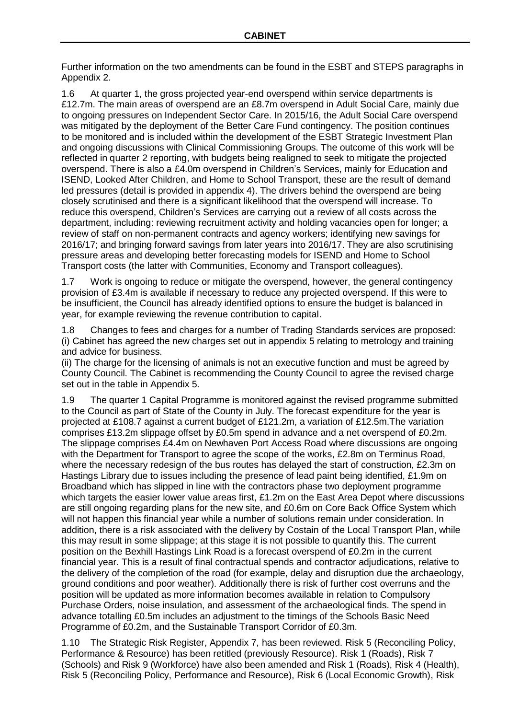Further information on the two amendments can be found in the ESBT and STEPS paragraphs in Appendix 2.

1.6 At quarter 1, the gross projected year-end overspend within service departments is £12.7m. The main areas of overspend are an £8.7m overspend in Adult Social Care, mainly due to ongoing pressures on Independent Sector Care. In 2015/16, the Adult Social Care overspend was mitigated by the deployment of the Better Care Fund contingency. The position continues to be monitored and is included within the development of the ESBT Strategic Investment Plan and ongoing discussions with Clinical Commissioning Groups. The outcome of this work will be reflected in quarter 2 reporting, with budgets being realigned to seek to mitigate the projected overspend. There is also a £4.0m overspend in Children's Services, mainly for Education and ISEND, Looked After Children, and Home to School Transport, these are the result of demand led pressures (detail is provided in appendix 4). The drivers behind the overspend are being closely scrutinised and there is a significant likelihood that the overspend will increase. To reduce this overspend, Children's Services are carrying out a review of all costs across the department, including: reviewing recruitment activity and holding vacancies open for longer; a review of staff on non-permanent contracts and agency workers; identifying new savings for 2016/17; and bringing forward savings from later years into 2016/17. They are also scrutinising pressure areas and developing better forecasting models for ISEND and Home to School Transport costs (the latter with Communities, Economy and Transport colleagues).

1.7 Work is ongoing to reduce or mitigate the overspend, however, the general contingency provision of £3.4m is available if necessary to reduce any projected overspend. If this were to be insufficient, the Council has already identified options to ensure the budget is balanced in year, for example reviewing the revenue contribution to capital.

1.8 Changes to fees and charges for a number of Trading Standards services are proposed: (i) Cabinet has agreed the new charges set out in appendix 5 relating to metrology and training and advice for business.

(ii) The charge for the licensing of animals is not an executive function and must be agreed by County Council. The Cabinet is recommending the County Council to agree the revised charge set out in the table in Appendix 5.

1.9 The quarter 1 Capital Programme is monitored against the revised programme submitted to the Council as part of State of the County in July. The forecast expenditure for the year is projected at £108.7 against a current budget of £121.2m, a variation of £12.5m.The variation comprises £13.2m slippage offset by £0.5m spend in advance and a net overspend of £0.2m. The slippage comprises £4.4m on Newhaven Port Access Road where discussions are ongoing with the Department for Transport to agree the scope of the works, £2.8m on Terminus Road, where the necessary redesign of the bus routes has delayed the start of construction, £2.3m on Hastings Library due to issues including the presence of lead paint being identified, £1.9m on Broadband which has slipped in line with the contractors phase two deployment programme which targets the easier lower value areas first, £1.2m on the East Area Depot where discussions are still ongoing regarding plans for the new site, and £0.6m on Core Back Office System which will not happen this financial year while a number of solutions remain under consideration. In addition, there is a risk associated with the delivery by Costain of the Local Transport Plan, while this may result in some slippage; at this stage it is not possible to quantify this. The current position on the Bexhill Hastings Link Road is a forecast overspend of £0.2m in the current financial year. This is a result of final contractual spends and contractor adjudications, relative to the delivery of the completion of the road (for example, delay and disruption due the archaeology, ground conditions and poor weather). Additionally there is risk of further cost overruns and the position will be updated as more information becomes available in relation to Compulsory Purchase Orders, noise insulation, and assessment of the archaeological finds. The spend in advance totalling £0.5m includes an adjustment to the timings of the Schools Basic Need Programme of £0.2m, and the Sustainable Transport Corridor of £0.3m.

1.10 The Strategic Risk Register, Appendix 7, has been reviewed. Risk 5 (Reconciling Policy, Performance & Resource) has been retitled (previously Resource). Risk 1 (Roads), Risk 7 (Schools) and Risk 9 (Workforce) have also been amended and Risk 1 (Roads), Risk 4 (Health), Risk 5 (Reconciling Policy, Performance and Resource), Risk 6 (Local Economic Growth), Risk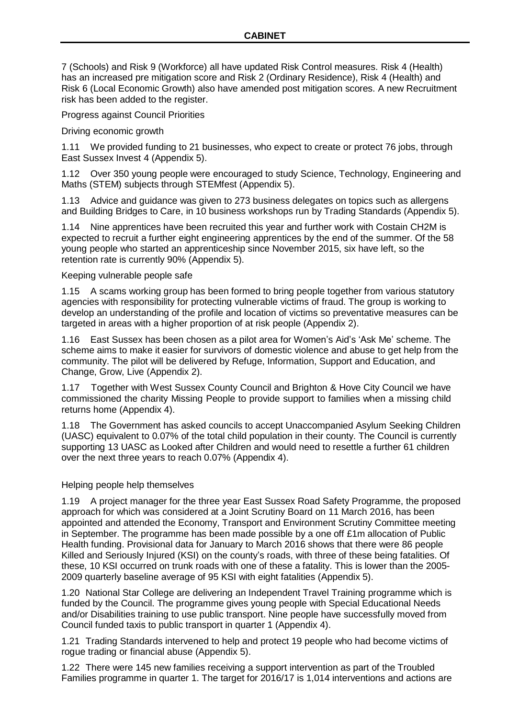7 (Schools) and Risk 9 (Workforce) all have updated Risk Control measures. Risk 4 (Health) has an increased pre mitigation score and Risk 2 (Ordinary Residence), Risk 4 (Health) and Risk 6 (Local Economic Growth) also have amended post mitigation scores. A new Recruitment risk has been added to the register.

Progress against Council Priorities

Driving economic growth

1.11 We provided funding to 21 businesses, who expect to create or protect 76 jobs, through East Sussex Invest 4 (Appendix 5).

1.12 Over 350 young people were encouraged to study Science, Technology, Engineering and Maths (STEM) subjects through STEMfest (Appendix 5).

1.13 Advice and guidance was given to 273 business delegates on topics such as allergens and Building Bridges to Care, in 10 business workshops run by Trading Standards (Appendix 5).

1.14 Nine apprentices have been recruited this year and further work with Costain CH2M is expected to recruit a further eight engineering apprentices by the end of the summer. Of the 58 young people who started an apprenticeship since November 2015, six have left, so the retention rate is currently 90% (Appendix 5).

Keeping vulnerable people safe

1.15 A scams working group has been formed to bring people together from various statutory agencies with responsibility for protecting vulnerable victims of fraud. The group is working to develop an understanding of the profile and location of victims so preventative measures can be targeted in areas with a higher proportion of at risk people (Appendix 2).

1.16 East Sussex has been chosen as a pilot area for Women's Aid's 'Ask Me' scheme. The scheme aims to make it easier for survivors of domestic violence and abuse to get help from the community. The pilot will be delivered by Refuge, Information, Support and Education, and Change, Grow, Live (Appendix 2).

1.17 Together with West Sussex County Council and Brighton & Hove City Council we have commissioned the charity Missing People to provide support to families when a missing child returns home (Appendix 4).

1.18 The Government has asked councils to accept Unaccompanied Asylum Seeking Children (UASC) equivalent to 0.07% of the total child population in their county. The Council is currently supporting 13 UASC as Looked after Children and would need to resettle a further 61 children over the next three years to reach 0.07% (Appendix 4).

## Helping people help themselves

1.19 A project manager for the three year East Sussex Road Safety Programme, the proposed approach for which was considered at a Joint Scrutiny Board on 11 March 2016, has been appointed and attended the Economy, Transport and Environment Scrutiny Committee meeting in September. The programme has been made possible by a one off £1m allocation of Public Health funding. Provisional data for January to March 2016 shows that there were 86 people Killed and Seriously Injured (KSI) on the county's roads, with three of these being fatalities. Of these, 10 KSI occurred on trunk roads with one of these a fatality. This is lower than the 2005- 2009 quarterly baseline average of 95 KSI with eight fatalities (Appendix 5).

1.20 National Star College are delivering an Independent Travel Training programme which is funded by the Council. The programme gives young people with Special Educational Needs and/or Disabilities training to use public transport. Nine people have successfully moved from Council funded taxis to public transport in quarter 1 (Appendix 4).

1.21 Trading Standards intervened to help and protect 19 people who had become victims of rogue trading or financial abuse (Appendix 5).

1.22 There were 145 new families receiving a support intervention as part of the Troubled Families programme in quarter 1. The target for 2016/17 is 1,014 interventions and actions are